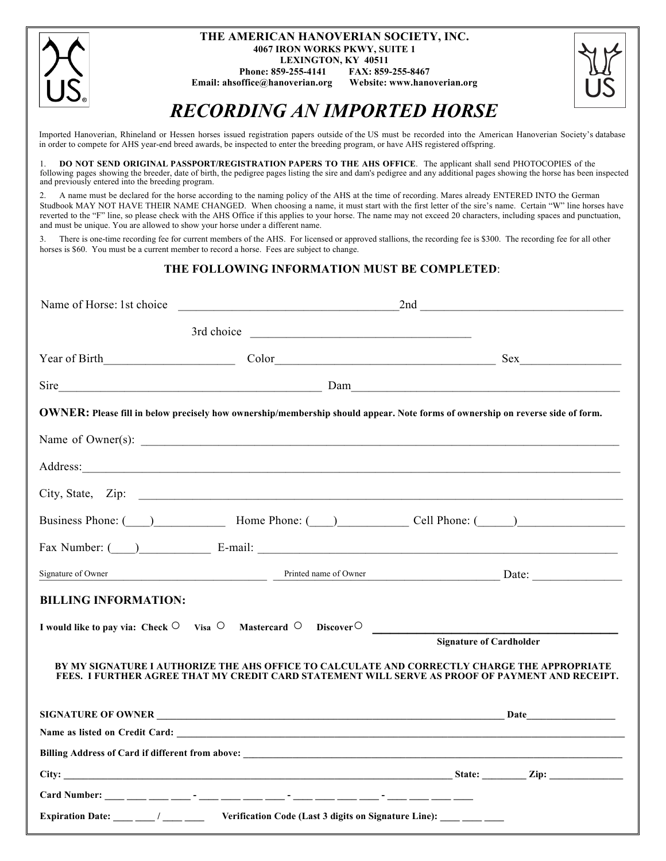| THE AMERICAN HANOVERIAN SOCIETY, INC.<br><b>4067 IRON WORKS PKWY, SUITE 1</b>                                                            |  |
|------------------------------------------------------------------------------------------------------------------------------------------|--|
| <b>LEXINGTON, KY 40511</b><br>FAX: 859-255-8467<br>Phone: 859-255-4141<br>Website: www.hanoverian.org<br>Email: ahsoffice@hanoverian.org |  |
| <b>RECORDING AN IMPORTED HORSE</b>                                                                                                       |  |

Imported Hanoverian, Rhineland or Hessen horses issued registration papers outside of the US must be recorded into the American Hanoverian Society's database in order to compete for AHS year-end breed awards, be inspected to enter the breeding program, or have AHS registered offspring.

1. **DO NOT SEND ORIGINAL PASSPORT/REGISTRATION PAPERS TO THE AHS OFFICE**. The applicant shall send PHOTOCOPIES of the following pages showing the breeder, date of birth, the pedigree pages listing the sire and dam's pedigree and any additional pages showing the horse has been inspected and previously entered into the breeding program.

2. A name must be declared for the horse according to the naming policy of the AHS at the time of recording. Mares already ENTERED INTO the German Studbook MAY NOT HAVE THEIR NAME CHANGED. When choosing a name, it must start with the first letter of the sire's name. Certain "W" line horses have reverted to the "F" line, so please check with the AHS Office if this applies to your horse. The name may not exceed 20 characters, including spaces and punctuation, and must be unique. You are allowed to show your horse under a different name.

3. There is one-time recording fee for current members of the AHS. For licensed or approved stallions, the recording fee is \$300. The recording fee for all other horses is \$60. You must be a current member to record a horse. Fees are subject to change.

#### **THE FOLLOWING INFORMATION MUST BE COMPLETED**:

|                             |                                                                                                   | $Sire$ Dam                                                                                                                                                                                                                     |
|-----------------------------|---------------------------------------------------------------------------------------------------|--------------------------------------------------------------------------------------------------------------------------------------------------------------------------------------------------------------------------------|
|                             |                                                                                                   | OWNER: Please fill in below precisely how ownership/membership should appear. Note forms of ownership on reverse side of form.                                                                                                 |
|                             |                                                                                                   |                                                                                                                                                                                                                                |
|                             |                                                                                                   | Address: Andreas Address: Address: Address: Address: Address: Address: Address: Address: Address: Address: Address: Address: Address: Address: Address: Address: Address: Address: Address: Address: Address: Address: Address |
|                             |                                                                                                   |                                                                                                                                                                                                                                |
|                             |                                                                                                   | Business Phone: (Changle of Phone: (Changle Of Phone: (Changle Of Phone: (Changle Of Phone: (Changle Of Phone: (Changle Of Phone: (Changle Of Phone: (Changle Of Phone: (Changle Of Phone: (Changle Of Phone: (Changle Of Phon |
|                             |                                                                                                   | Fax Number: ( ) E-mail: E-mail:                                                                                                                                                                                                |
| Signature of Owner          |                                                                                                   | Printed name of Owner<br>Date:                                                                                                                                                                                                 |
| <b>BILLING INFORMATION:</b> |                                                                                                   |                                                                                                                                                                                                                                |
|                             | I would like to pay via: Check $\circ$ Visa $\circ$ Mastercard $\circ$ Discover $\circ$           |                                                                                                                                                                                                                                |
|                             |                                                                                                   | <b>Signature of Cardholder</b>                                                                                                                                                                                                 |
|                             |                                                                                                   | BY MY SIGNATURE I AUTHORIZE THE AHS OFFICE TO CALCULATE AND CORRECTLY CHARGE THE APPROPRIATE<br>FEES. I FURTHER AGREE THAT MY CREDIT CARD STATEMENT WILL SERVE AS PROOF OF PAYMENT AND RECEIPT.                                |
|                             |                                                                                                   |                                                                                                                                                                                                                                |
|                             |                                                                                                   |                                                                                                                                                                                                                                |
|                             |                                                                                                   |                                                                                                                                                                                                                                |
|                             |                                                                                                   |                                                                                                                                                                                                                                |
|                             | Card Number: ___ ___ ___ ___ -__ ___ ___ ___ ___ -__ ___ ___ ___ ___ ___ ___ ___                  |                                                                                                                                                                                                                                |
|                             | Expiration Date: ___ __/ ___ __ Verification Code (Last 3 digits on Signature Line): ___ __ __ __ |                                                                                                                                                                                                                                |